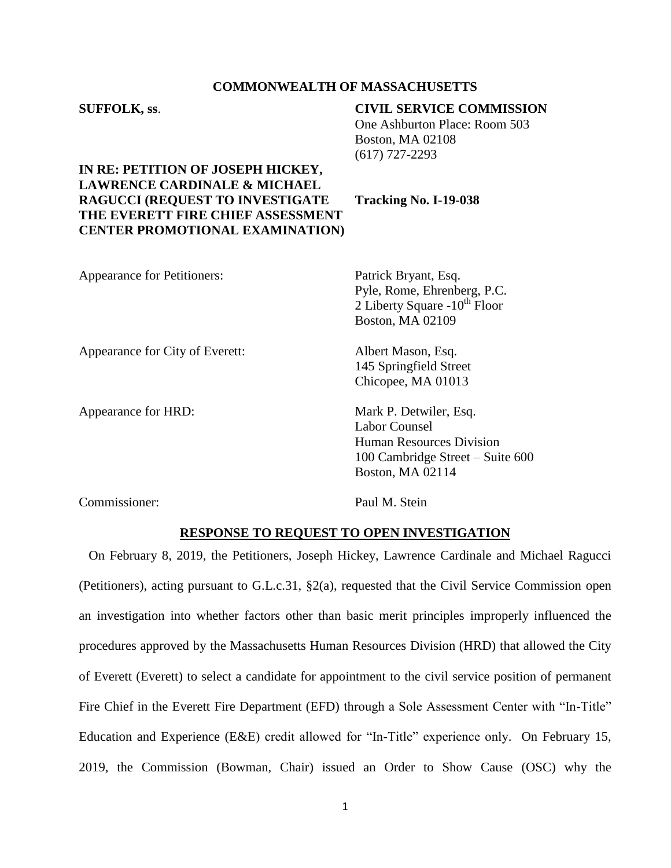## **COMMONWEALTH OF MASSACHUSETTS**

| <b>SUFFOLK, ss.</b>                                                                                                                                                                                   | <b>CIVIL SERVICE COMMISSION</b><br>One Ashburton Place: Room 503<br><b>Boston, MA 02108</b><br>$(617)$ 727-2293 |
|-------------------------------------------------------------------------------------------------------------------------------------------------------------------------------------------------------|-----------------------------------------------------------------------------------------------------------------|
| IN RE: PETITION OF JOSEPH HICKEY,<br><b>LAWRENCE CARDINALE &amp; MICHAEL</b><br><b>RAGUCCI (REQUEST TO INVESTIGATE</b><br>THE EVERETT FIRE CHIEF ASSESSMENT<br><b>CENTER PROMOTIONAL EXAMINATION)</b> | Tracking No. I-19-038                                                                                           |
| <b>Appearance for Petitioners:</b>                                                                                                                                                                    | Patrick Bryant, Esq.<br>Pyle, Rome, Ehrenberg, P.C.<br>2 Liberty Square $-10^{th}$ Floor<br>Boston, MA 02109    |
| Appearance for City of Everett:                                                                                                                                                                       | Albert Mason, Esq.<br>145 Springfield Street<br>Chicopee, MA 01013                                              |
| Appearance for HRD:                                                                                                                                                                                   | Mark P. Detwiler, Esq.<br><b>Labor Counsel</b><br><b>Human Resources Division</b>                               |

Commissioner: Paul M. Stein

Boston, MA 02114

100 Cambridge Street – Suite 600

## **RESPONSE TO REQUEST TO OPEN INVESTIGATION**

On February 8, 2019, the Petitioners, Joseph Hickey, Lawrence Cardinale and Michael Ragucci (Petitioners), acting pursuant to G.L.c.31, §2(a), requested that the Civil Service Commission open an investigation into whether factors other than basic merit principles improperly influenced the procedures approved by the Massachusetts Human Resources Division (HRD) that allowed the City of Everett (Everett) to select a candidate for appointment to the civil service position of permanent Fire Chief in the Everett Fire Department (EFD) through a Sole Assessment Center with "In-Title" Education and Experience (E&E) credit allowed for "In-Title" experience only. On February 15, 2019, the Commission (Bowman, Chair) issued an Order to Show Cause (OSC) why the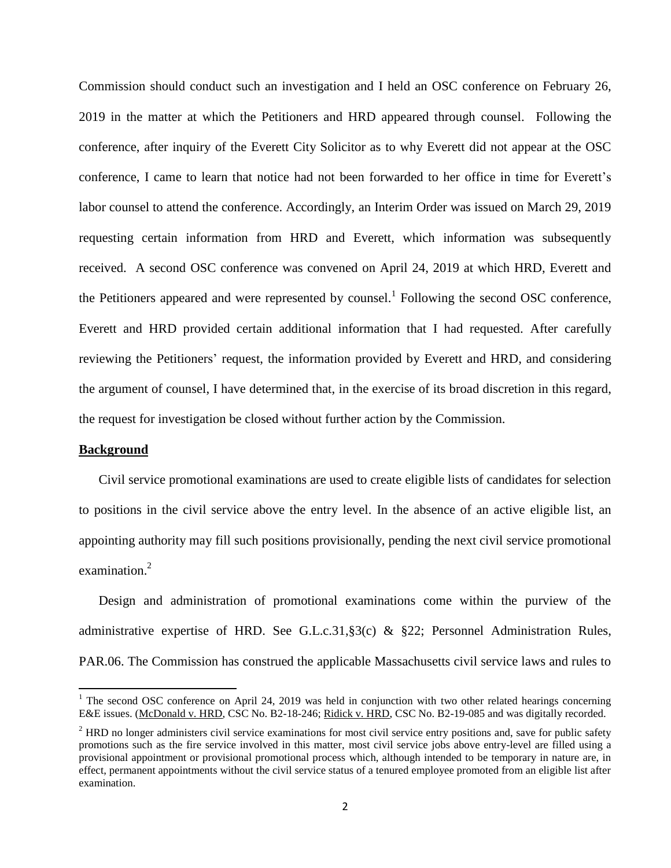Commission should conduct such an investigation and I held an OSC conference on February 26, 2019 in the matter at which the Petitioners and HRD appeared through counsel. Following the conference, after inquiry of the Everett City Solicitor as to why Everett did not appear at the OSC conference, I came to learn that notice had not been forwarded to her office in time for Everett's labor counsel to attend the conference. Accordingly, an Interim Order was issued on March 29, 2019 requesting certain information from HRD and Everett, which information was subsequently received. A second OSC conference was convened on April 24, 2019 at which HRD, Everett and the Petitioners appeared and were represented by counsel.<sup>1</sup> Following the second OSC conference, Everett and HRD provided certain additional information that I had requested. After carefully reviewing the Petitioners' request, the information provided by Everett and HRD, and considering the argument of counsel, I have determined that, in the exercise of its broad discretion in this regard, the request for investigation be closed without further action by the Commission.

## **Background**

 $\overline{a}$ 

Civil service promotional examinations are used to create eligible lists of candidates for selection to positions in the civil service above the entry level. In the absence of an active eligible list, an appointing authority may fill such positions provisionally, pending the next civil service promotional examination.<sup>2</sup>

Design and administration of promotional examinations come within the purview of the administrative expertise of HRD. See G.L.c.31,§3(c) & §22; Personnel Administration Rules, PAR.06. The Commission has construed the applicable Massachusetts civil service laws and rules to

<sup>&</sup>lt;sup>1</sup> The second OSC conference on April 24, 2019 was held in conjunction with two other related hearings concerning E&E issues. (McDonald v. HRD, CSC No. B2-18-246; Ridick v. HRD, CSC No. B2-19-085 and was digitally recorded.

 $<sup>2</sup>$  HRD no longer administers civil service examinations for most civil service entry positions and, save for public safety</sup> promotions such as the fire service involved in this matter, most civil service jobs above entry-level are filled using a provisional appointment or provisional promotional process which, although intended to be temporary in nature are, in effect, permanent appointments without the civil service status of a tenured employee promoted from an eligible list after examination.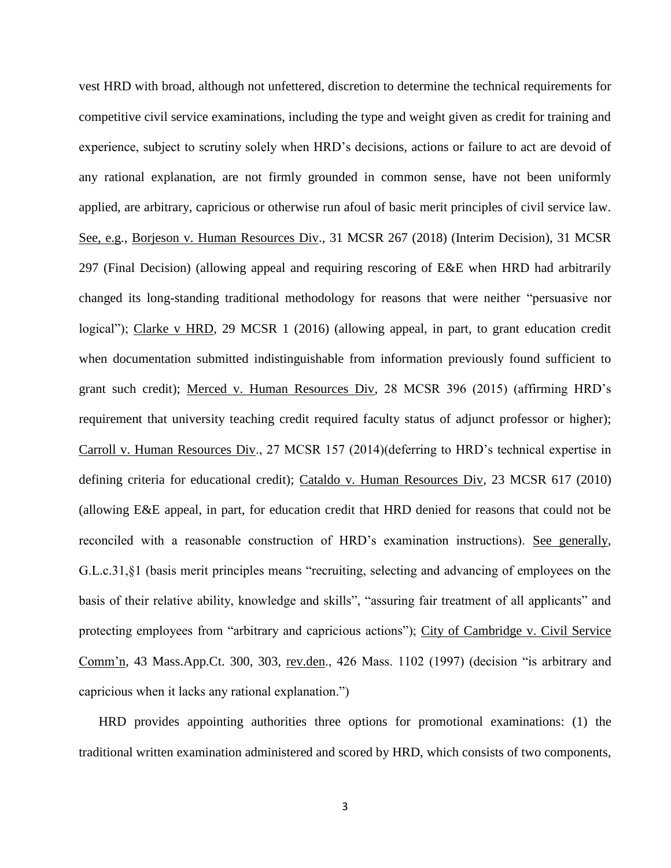vest HRD with broad, although not unfettered, discretion to determine the technical requirements for competitive civil service examinations, including the type and weight given as credit for training and experience, subject to scrutiny solely when HRD's decisions, actions or failure to act are devoid of any rational explanation, are not firmly grounded in common sense, have not been uniformly applied, are arbitrary, capricious or otherwise run afoul of basic merit principles of civil service law. See, e.g., Borjeson v. Human Resources Div., 31 MCSR 267 (2018) (Interim Decision), 31 MCSR 297 (Final Decision) (allowing appeal and requiring rescoring of E&E when HRD had arbitrarily changed its long-standing traditional methodology for reasons that were neither "persuasive nor logical"); Clarke v HRD, 29 MCSR 1 (2016) (allowing appeal, in part, to grant education credit when documentation submitted indistinguishable from information previously found sufficient to grant such credit); Merced v. Human Resources Div, 28 MCSR 396 (2015) (affirming HRD's requirement that university teaching credit required faculty status of adjunct professor or higher); Carroll v. Human Resources Div., 27 MCSR 157 (2014)(deferring to HRD's technical expertise in defining criteria for educational credit); Cataldo v. Human Resources Div, 23 MCSR 617 (2010) (allowing E&E appeal, in part, for education credit that HRD denied for reasons that could not be reconciled with a reasonable construction of HRD's examination instructions). See generally, G.L.c.31,§1 (basis merit principles means "recruiting, selecting and advancing of employees on the basis of their relative ability, knowledge and skills", "assuring fair treatment of all applicants" and protecting employees from "arbitrary and capricious actions"); City of Cambridge v. Civil Service Comm'n, 43 Mass.App.Ct. 300, 303, rev.den., 426 Mass. 1102 (1997) (decision "is arbitrary and capricious when it lacks any rational explanation.")

HRD provides appointing authorities three options for promotional examinations: (1) the traditional written examination administered and scored by HRD, which consists of two components,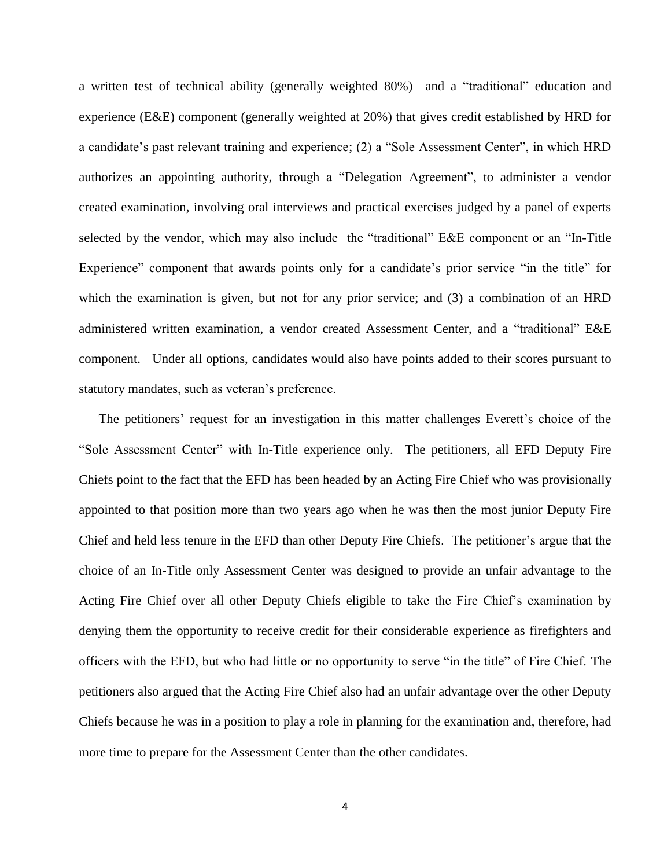a written test of technical ability (generally weighted 80%) and a "traditional" education and experience (E&E) component (generally weighted at 20%) that gives credit established by HRD for a candidate's past relevant training and experience; (2) a "Sole Assessment Center", in which HRD authorizes an appointing authority, through a "Delegation Agreement", to administer a vendor created examination, involving oral interviews and practical exercises judged by a panel of experts selected by the vendor, which may also include the "traditional" E&E component or an "In-Title Experience" component that awards points only for a candidate's prior service "in the title" for which the examination is given, but not for any prior service; and (3) a combination of an HRD administered written examination, a vendor created Assessment Center, and a "traditional" E&E component. Under all options, candidates would also have points added to their scores pursuant to statutory mandates, such as veteran's preference.

The petitioners' request for an investigation in this matter challenges Everett's choice of the "Sole Assessment Center" with In-Title experience only. The petitioners, all EFD Deputy Fire Chiefs point to the fact that the EFD has been headed by an Acting Fire Chief who was provisionally appointed to that position more than two years ago when he was then the most junior Deputy Fire Chief and held less tenure in the EFD than other Deputy Fire Chiefs. The petitioner's argue that the choice of an In-Title only Assessment Center was designed to provide an unfair advantage to the Acting Fire Chief over all other Deputy Chiefs eligible to take the Fire Chief's examination by denying them the opportunity to receive credit for their considerable experience as firefighters and officers with the EFD, but who had little or no opportunity to serve "in the title" of Fire Chief. The petitioners also argued that the Acting Fire Chief also had an unfair advantage over the other Deputy Chiefs because he was in a position to play a role in planning for the examination and, therefore, had more time to prepare for the Assessment Center than the other candidates.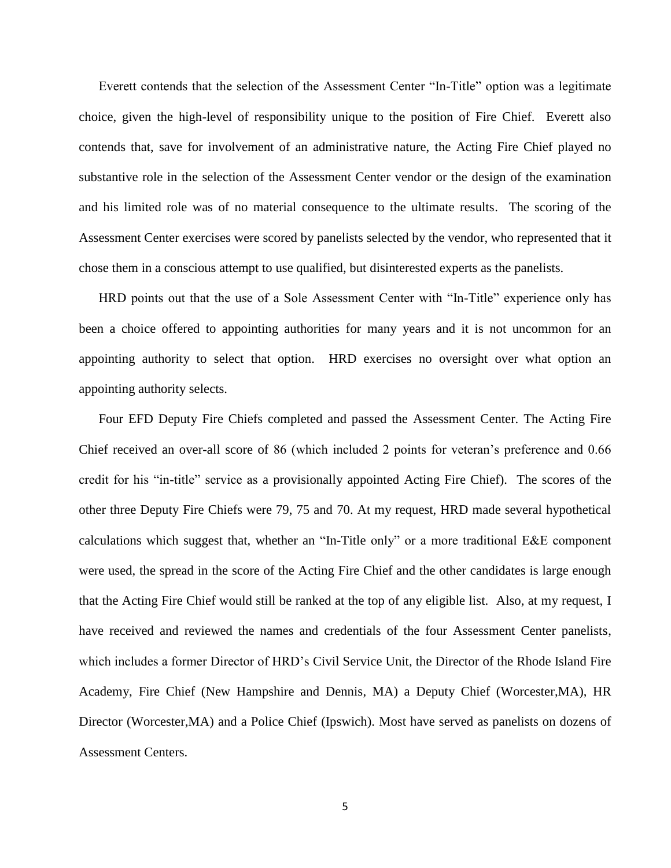Everett contends that the selection of the Assessment Center "In-Title" option was a legitimate choice, given the high-level of responsibility unique to the position of Fire Chief. Everett also contends that, save for involvement of an administrative nature, the Acting Fire Chief played no substantive role in the selection of the Assessment Center vendor or the design of the examination and his limited role was of no material consequence to the ultimate results. The scoring of the Assessment Center exercises were scored by panelists selected by the vendor, who represented that it chose them in a conscious attempt to use qualified, but disinterested experts as the panelists.

HRD points out that the use of a Sole Assessment Center with "In-Title" experience only has been a choice offered to appointing authorities for many years and it is not uncommon for an appointing authority to select that option. HRD exercises no oversight over what option an appointing authority selects.

Four EFD Deputy Fire Chiefs completed and passed the Assessment Center. The Acting Fire Chief received an over-all score of 86 (which included 2 points for veteran's preference and 0.66 credit for his "in-title" service as a provisionally appointed Acting Fire Chief). The scores of the other three Deputy Fire Chiefs were 79, 75 and 70. At my request, HRD made several hypothetical calculations which suggest that, whether an "In-Title only" or a more traditional E&E component were used, the spread in the score of the Acting Fire Chief and the other candidates is large enough that the Acting Fire Chief would still be ranked at the top of any eligible list. Also, at my request, I have received and reviewed the names and credentials of the four Assessment Center panelists, which includes a former Director of HRD's Civil Service Unit, the Director of the Rhode Island Fire Academy, Fire Chief (New Hampshire and Dennis, MA) a Deputy Chief (Worcester,MA), HR Director (Worcester,MA) and a Police Chief (Ipswich). Most have served as panelists on dozens of Assessment Centers.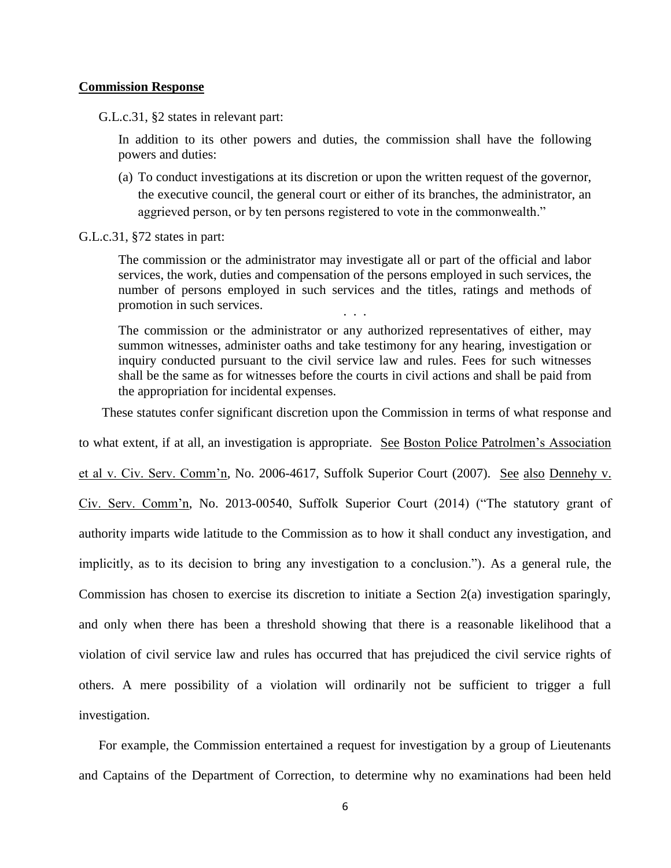## **Commission Response**

G.L.c.31, §2 states in relevant part:

In addition to its other powers and duties, the commission shall have the following powers and duties:

(a) To conduct investigations at its discretion or upon the written request of the governor, the executive council, the general court or either of its branches, the administrator, an aggrieved person, or by ten persons registered to vote in the commonwealth."

G.L.c.31, §72 states in part:

The commission or the administrator may investigate all or part of the official and labor services, the work, duties and compensation of the persons employed in such services, the number of persons employed in such services and the titles, ratings and methods of promotion in such services. . . .

The commission or the administrator or any authorized representatives of either, may summon witnesses, administer oaths and take testimony for any hearing, investigation or inquiry conducted pursuant to the civil service law and rules. Fees for such witnesses shall be the same as for witnesses before the courts in civil actions and shall be paid from the appropriation for incidental expenses.

These statutes confer significant discretion upon the Commission in terms of what response and

to what extent, if at all, an investigation is appropriate. See Boston Police Patrolmen's Association

et al v. Civ. Serv. Comm'n, No. 2006-4617, Suffolk Superior Court (2007). See also Dennehy v.

Civ. Serv. Comm'n, No. 2013-00540, Suffolk Superior Court (2014) ("The statutory grant of authority imparts wide latitude to the Commission as to how it shall conduct any investigation, and implicitly, as to its decision to bring any investigation to a conclusion."). As a general rule, the Commission has chosen to exercise its discretion to initiate a Section 2(a) investigation sparingly, and only when there has been a threshold showing that there is a reasonable likelihood that a violation of civil service law and rules has occurred that has prejudiced the civil service rights of others. A mere possibility of a violation will ordinarily not be sufficient to trigger a full investigation.

For example, the Commission entertained a request for investigation by a group of Lieutenants and Captains of the Department of Correction, to determine why no examinations had been held